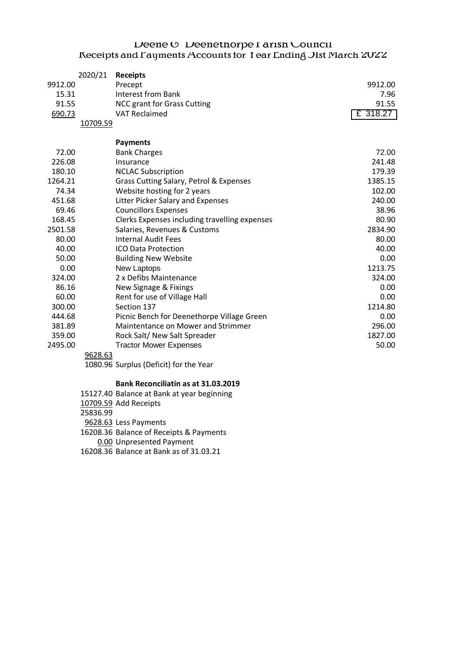## $D$ eene  $O$  Deenethorpe I arish Council Receipts and Fayments Accounts for Year Ending Olst March 2022

|         | 2020/21  | <b>Receipts</b>                               |          |
|---------|----------|-----------------------------------------------|----------|
| 9912.00 |          | Precept                                       | 9912.00  |
| 15.31   |          | <b>Interest from Bank</b>                     | 7.96     |
| 91.55   |          | <b>NCC grant for Grass Cutting</b>            | 91.55    |
| 690.73  |          | <b>VAT Reclaimed</b>                          | £ 318.27 |
|         | 10709.59 |                                               |          |
|         |          | <b>Payments</b>                               |          |
| 72.00   |          | <b>Bank Charges</b>                           | 72.00    |
| 226.08  |          | Insurance                                     | 241.48   |
| 180.10  |          | <b>NCLAC Subscription</b>                     | 179.39   |
| 1264.21 |          | Grass Cutting Salary, Petrol & Expenses       | 1385.15  |
| 74.34   |          | Website hosting for 2 years                   | 102.00   |
| 451.68  |          | Litter Picker Salary and Expenses             | 240.00   |
| 69.46   |          | <b>Councillors Expenses</b>                   | 38.96    |
| 168.45  |          | Clerks Expenses including travelling expenses | 80.90    |
| 2501.58 |          | Salaries, Revenues & Customs                  | 2834.90  |
| 80.00   |          | <b>Internal Audit Fees</b>                    | 80.00    |
| 40.00   |          | <b>ICO Data Protection</b>                    | 40.00    |
| 50.00   |          | <b>Building New Website</b>                   | 0.00     |
| 0.00    |          | New Laptops                                   | 1213.75  |
| 324.00  |          | 2 x Defibs Maintenance                        | 324.00   |
| 86.16   |          | New Signage & Fixings                         | 0.00     |
| 60.00   |          | Rent for use of Village Hall                  | 0.00     |
| 300.00  |          | Section 137                                   | 1214.80  |
| 444.68  |          | Picnic Bench for Deenethorpe Village Green    | 0.00     |
| 381.89  |          | Maintentance on Mower and Strimmer            | 296.00   |
| 359.00  |          | Rock Salt/ New Salt Spreader                  | 1827.00  |
| 2495.00 |          | <b>Tractor Mower Expenses</b>                 | 50.00    |
|         | 9628.63  |                                               |          |

1080.96 Surplus (Deficit) for the Year

## **Bank Reconciliatin as at 31.03.2019**

15127.40 Balance at Bank at year beginning

10709.59 Add Receipts

25836.99

9628.63 Less Payments

16208.36 Balance of Receipts & Payments

0.00 Unpresented Payment

16208.36 Balance at Bank as of 31.03.21